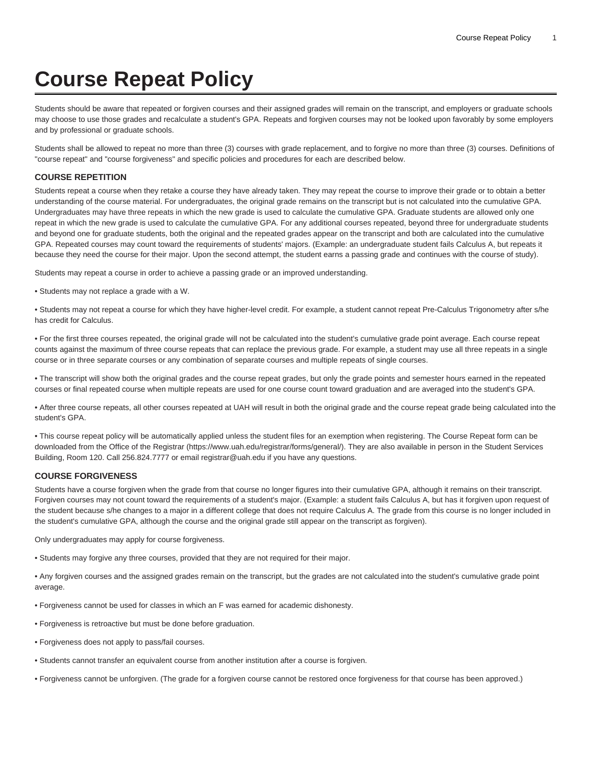## **Course Repeat Policy**

Students should be aware that repeated or forgiven courses and their assigned grades will remain on the transcript, and employers or graduate schools may choose to use those grades and recalculate a student's GPA. Repeats and forgiven courses may not be looked upon favorably by some employers and by professional or graduate schools.

Students shall be allowed to repeat no more than three (3) courses with grade replacement, and to forgive no more than three (3) courses. Definitions of "course repeat" and "course forgiveness" and specific policies and procedures for each are described below.

## **COURSE REPETITION**

Students repeat a course when they retake a course they have already taken. They may repeat the course to improve their grade or to obtain a better understanding of the course material. For undergraduates, the original grade remains on the transcript but is not calculated into the cumulative GPA. Undergraduates may have three repeats in which the new grade is used to calculate the cumulative GPA. Graduate students are allowed only one repeat in which the new grade is used to calculate the cumulative GPA. For any additional courses repeated, beyond three for undergraduate students and beyond one for graduate students, both the original and the repeated grades appear on the transcript and both are calculated into the cumulative GPA. Repeated courses may count toward the requirements of students' majors. (Example: an undergraduate student fails Calculus A, but repeats it because they need the course for their major. Upon the second attempt, the student earns a passing grade and continues with the course of study).

Students may repeat a course in order to achieve a passing grade or an improved understanding.

• Students may not replace a grade with a W.

• Students may not repeat a course for which they have higher-level credit. For example, a student cannot repeat Pre-Calculus Trigonometry after s/he has credit for Calculus.

• For the first three courses repeated, the original grade will not be calculated into the student's cumulative grade point average. Each course repeat counts against the maximum of three course repeats that can replace the previous grade. For example, a student may use all three repeats in a single course or in three separate courses or any combination of separate courses and multiple repeats of single courses.

• The transcript will show both the original grades and the course repeat grades, but only the grade points and semester hours earned in the repeated courses or final repeated course when multiple repeats are used for one course count toward graduation and are averaged into the student's GPA.

• After three course repeats, all other courses repeated at UAH will result in both the original grade and the course repeat grade being calculated into the student's GPA.

• This course repeat policy will be automatically applied unless the student files for an exemption when registering. The Course Repeat form can be downloaded from the [Office of the Registrar](https://www.uah.edu/registrar/forms/general/) (<https://www.uah.edu/registrar/forms/general/>). They are also available in person in the Student Services Building, Room 120. Call 256.824.7777 or email [registrar@uah.edu](mailto:registrar@uah.edu) if you have any questions.

## **COURSE FORGIVENESS**

Students have a course forgiven when the grade from that course no longer figures into their cumulative GPA, although it remains on their transcript. Forgiven courses may not count toward the requirements of a student's major. (Example: a student fails Calculus A, but has it forgiven upon request of the student because s/he changes to a major in a different college that does not require Calculus A. The grade from this course is no longer included in the student's cumulative GPA, although the course and the original grade still appear on the transcript as forgiven).

Only undergraduates may apply for course forgiveness.

• Students may forgive any three courses, provided that they are not required for their major.

• Any forgiven courses and the assigned grades remain on the transcript, but the grades are not calculated into the student's cumulative grade point average.

- Forgiveness cannot be used for classes in which an F was earned for academic dishonesty.
- Forgiveness is retroactive but must be done before graduation.
- Forgiveness does not apply to pass/fail courses.
- Students cannot transfer an equivalent course from another institution after a course is forgiven.

• Forgiveness cannot be unforgiven. (The grade for a forgiven course cannot be restored once forgiveness for that course has been approved.)